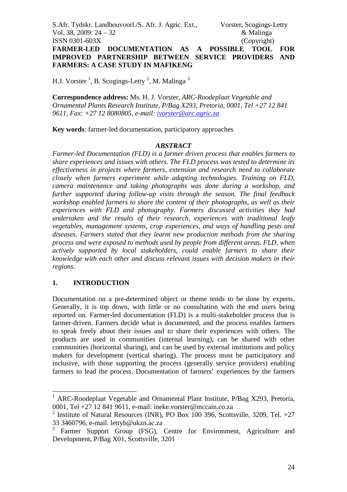S.Afr. Tydskr. Landbouvoorl./S. Afr. J. Agric. Ext., Vorster, Scogings-Letty Vol. 38, 2009: 24 – 32 & Malinga ISSN 0301-603X (Copyright) **FARMER-LED DOCUMENTATION AS A POSSIBLE TOOL FOR IMPROVED PARTNERSHIP BETWEEN SERVICE PROVIDERS AND FARMERS: A CASE STUDY IN MAFIKENG** 

H.J. Vorster<sup>1</sup>, B. Scogings-Letty<sup>2</sup>, M. Malinga<sup>3.</sup>

**Correspondence address:** Ms. H. J. Vorster, *ARC-Roodeplaat Vegetable and Ornamental Plants Research Institute, P/Bag X293, Pretoria, 0001, Tel +27 12 841 9611, Fax: +27 12 8080805, e-mail: ivorster@arc.agric.za*

**Key words**: farmer-led documentation, participatory approaches

## *ABSTRACT*

*Farmer-led Documentation (FLD) is a farmer driven process that enables farmers to share experiences and issues with others. The FLD process was tested to determine its effectiveness in projects where farmers, extension and research need to collaborate closely when farmers experiment while adapting technologies. Training on FLD, camera maintenance and taking photographs was done during a workshop, and further supported during follow-up visits through the season. The final feedback workshop enabled farmers to share the content of their photographs, as well as their experiences with FLD and photography. Farmers discussed activities they had undertaken and the results of their research, experiences with traditional leafy vegetables, management systems, crop experiences, and ways of handling pests and diseases. Farmers stated that they learnt new production methods from the sharing process and were exposed to methods used by people from different areas. FLD, when actively supported by local stakeholders, could enable farmers to share their knowledge with each other and discuss relevant issues with decision makers in their regions.* 

## **1. INTRODUCTION**

Documentation on a pre-determined object or theme tends to be done by experts. Generally, it is top down, with little or no consultation with the end users being reported on. Farmer-led documentation (FLD) is a multi-stakeholder process that is farmer-driven. Farmers decide what is documented, and the process enables farmers to speak freely about their issues and to share their experiences with others. The products are used in communities (internal learning), can be shared with other communities (horizontal sharing), and can be used by external institutions and policy makers for development (vertical sharing). The process must be participatory and inclusive, with those supporting the process (generally service providers) enabling farmers to lead the process. Documentation of farmers' experiences by the farmers

<sup>&</sup>lt;sup>1</sup> ARC-Roodeplaat Vegetable and Ornamental Plant Institute, P/Bag X293, Pretoria, 0001, Tel +27 12 841 9611, e-mail: ineke.vorster@mccain.co.za

<sup>&</sup>lt;sup>2</sup> Institute of Natural Resources (INR), PO Box 100 396, Scottsville, 3209, Tel.  $+27$ 33 3460796, e-mail. lettyb@ukzn.ac.za<br><sup>3</sup> Earmer Support, Group (ESG)

Farmer Support Group (FSG), Centre for Environment, Agriculture and Development, P/Bag X01, Scottsville, 3201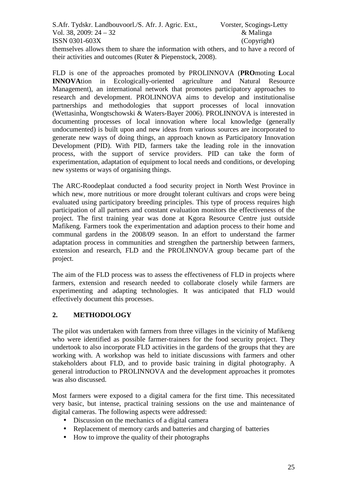themselves allows them to share the information with others, and to have a record of their activities and outcomes (Ruter & Piepenstock, 2008).

FLD is one of the approaches promoted by PROLINNOVA (**PRO**moting **L**ocal **INNOVA**tion in Ecologically-oriented agriculture and Natural Resource Management), an international network that promotes participatory approaches to research and development. PROLINNOVA aims to develop and institutionalise partnerships and methodologies that support processes of local innovation (Wettasinha, Wongtschowski & Waters-Bayer 2006). PROLINNOVA is interested in documenting processes of local innovation where local knowledge (generally undocumented) is built upon and new ideas from various sources are incorporated to generate new ways of doing things, an approach known as Participatory Innovation Development (PID). With PID, farmers take the leading role in the innovation process, with the support of service providers. PID can take the form of experimentation, adaptation of equipment to local needs and conditions, or developing new systems or ways of organising things.

The ARC-Roodeplaat conducted a food security project in North West Province in which new, more nutritious or more drought tolerant cultivars and crops were being evaluated using participatory breeding principles. This type of process requires high participation of all partners and constant evaluation monitors the effectiveness of the project. The first training year was done at Kgora Resource Centre just outside Mafikeng. Farmers took the experimentation and adaption process to their home and communal gardens in the 2008/09 season. In an effort to understand the farmer adaptation process in communities and strengthen the partnership between farmers, extension and research, FLD and the PROLINNOVA group became part of the project.

The aim of the FLD process was to assess the effectiveness of FLD in projects where farmers, extension and research needed to collaborate closely while farmers are experimenting and adapting technologies. It was anticipated that FLD would effectively document this processes.

# **2. METHODOLOGY**

The pilot was undertaken with farmers from three villages in the vicinity of Mafikeng who were identified as possible farmer-trainers for the food security project. They undertook to also incorporate FLD activities in the gardens of the groups that they are working with. A workshop was held to initiate discussions with farmers and other stakeholders about FLD, and to provide basic training in digital photography. A general introduction to PROLINNOVA and the development approaches it promotes was also discussed.

Most farmers were exposed to a digital camera for the first time. This necessitated very basic, but intense, practical training sessions on the use and maintenance of digital cameras. The following aspects were addressed:

- Discussion on the mechanics of a digital camera
- Replacement of memory cards and batteries and charging of batteries
- How to improve the quality of their photographs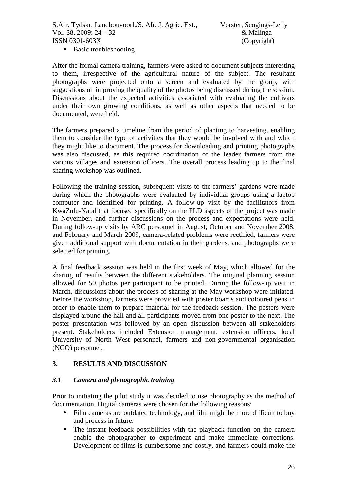• Basic troubleshooting

After the formal camera training, farmers were asked to document subjects interesting to them, irrespective of the agricultural nature of the subject. The resultant photographs were projected onto a screen and evaluated by the group, with suggestions on improving the quality of the photos being discussed during the session. Discussions about the expected activities associated with evaluating the cultivars under their own growing conditions, as well as other aspects that needed to be documented, were held.

The farmers prepared a timeline from the period of planting to harvesting, enabling them to consider the type of activities that they would be involved with and which they might like to document. The process for downloading and printing photographs was also discussed, as this required coordination of the leader farmers from the various villages and extension officers. The overall process leading up to the final sharing workshop was outlined.

Following the training session, subsequent visits to the farmers' gardens were made during which the photographs were evaluated by individual groups using a laptop computer and identified for printing. A follow-up visit by the facilitators from KwaZulu-Natal that focused specifically on the FLD aspects of the project was made in November, and further discussions on the process and expectations were held. During follow-up visits by ARC personnel in August, October and November 2008, and February and March 2009, camera-related problems were rectified, farmers were given additional support with documentation in their gardens, and photographs were selected for printing.

A final feedback session was held in the first week of May, which allowed for the sharing of results between the different stakeholders. The original planning session allowed for 50 photos per participant to be printed. During the follow-up visit in March, discussions about the process of sharing at the May workshop were initiated. Before the workshop, farmers were provided with poster boards and coloured pens in order to enable them to prepare material for the feedback session. The posters were displayed around the hall and all participants moved from one poster to the next. The poster presentation was followed by an open discussion between all stakeholders present. Stakeholders included Extension management, extension officers, local University of North West personnel, farmers and non-governmental organisation (NGO) personnel.

# **3. RESULTS AND DISCUSSION**

# *3.1 Camera and photographic training*

Prior to initiating the pilot study it was decided to use photography as the method of documentation. Digital cameras were chosen for the following reasons:

- Film cameras are outdated technology, and film might be more difficult to buy and process in future.
- The instant feedback possibilities with the playback function on the camera enable the photographer to experiment and make immediate corrections. Development of films is cumbersome and costly, and farmers could make the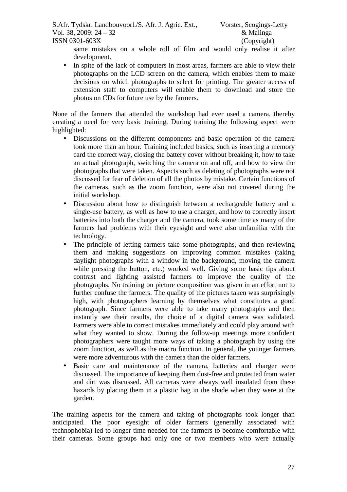same mistakes on a whole roll of film and would only realise it after development.

• In spite of the lack of computers in most areas, farmers are able to view their photographs on the LCD screen on the camera, which enables them to make decisions on which photographs to select for printing. The greater access of extension staff to computers will enable them to download and store the photos on CDs for future use by the farmers.

None of the farmers that attended the workshop had ever used a camera, thereby creating a need for very basic training. During training the following aspect were highlighted:

- Discussions on the different components and basic operation of the camera took more than an hour. Training included basics, such as inserting a memory card the correct way, closing the battery cover without breaking it, how to take an actual photograph, switching the camera on and off, and how to view the photographs that were taken. Aspects such as deleting of photographs were not discussed for fear of deletion of all the photos by mistake. Certain functions of the cameras, such as the zoom function, were also not covered during the initial workshop.
- Discussion about how to distinguish between a rechargeable battery and a single-use battery, as well as how to use a charger, and how to correctly insert batteries into both the charger and the camera, took some time as many of the farmers had problems with their eyesight and were also unfamiliar with the technology.
- The principle of letting farmers take some photographs, and then reviewing them and making suggestions on improving common mistakes (taking daylight photographs with a window in the background, moving the camera while pressing the button, etc.) worked well. Giving some basic tips about contrast and lighting assisted farmers to improve the quality of the photographs. No training on picture composition was given in an effort not to further confuse the farmers. The quality of the pictures taken was surprisingly high, with photographers learning by themselves what constitutes a good photograph. Since farmers were able to take many photographs and then instantly see their results, the choice of a digital camera was validated. Farmers were able to correct mistakes immediately and could play around with what they wanted to show. During the follow-up meetings more confident photographers were taught more ways of taking a photograph by using the zoom function, as well as the macro function. In general, the younger farmers were more adventurous with the camera than the older farmers.
- Basic care and maintenance of the camera, batteries and charger were discussed. The importance of keeping them dust-free and protected from water and dirt was discussed. All cameras were always well insulated from these hazards by placing them in a plastic bag in the shade when they were at the garden.

The training aspects for the camera and taking of photographs took longer than anticipated. The poor eyesight of older farmers (generally associated with technophobia) led to longer time needed for the farmers to become comfortable with their cameras. Some groups had only one or two members who were actually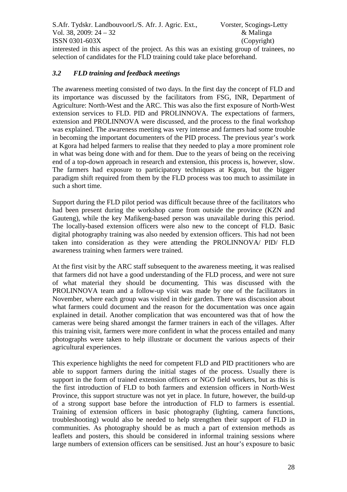interested in this aspect of the project. As this was an existing group of trainees, no selection of candidates for the FLD training could take place beforehand.

# *3.2 FLD training and feedback meetings*

The awareness meeting consisted of two days. In the first day the concept of FLD and its importance was discussed by the facilitators from FSG, INR, Department of Agriculture: North-West and the ARC. This was also the first exposure of North-West extension services to FLD. PID and PROLINNOVA. The expectations of farmers, extension and PROLINNOVA were discussed, and the process to the final workshop was explained. The awareness meeting was very intense and farmers had some trouble in becoming the important documenters of the PID process. The previous year's work at Kgora had helped farmers to realise that they needed to play a more prominent role in what was being done with and for them. Due to the years of being on the receiving end of a top-down approach in research and extension, this process is, however, slow. The farmers had exposure to participatory techniques at Kgora, but the bigger paradigm shift required from them by the FLD process was too much to assimilate in such a short time.

Support during the FLD pilot period was difficult because three of the facilitators who had been present during the workshop came from outside the province (KZN and Gauteng), while the key Mafikeng-based person was unavailable during this period. The locally-based extension officers were also new to the concept of FLD. Basic digital photography training was also needed by extension officers. This had not been taken into consideration as they were attending the PROLINNOVA/ PID/ FLD awareness training when farmers were trained.

At the first visit by the ARC staff subsequent to the awareness meeting, it was realised that farmers did not have a good understanding of the FLD process, and were not sure of what material they should be documenting. This was discussed with the PROLINNOVA team and a follow-up visit was made by one of the facilitators in November, where each group was visited in their garden. There was discussion about what farmers could document and the reason for the documentation was once again explained in detail. Another complication that was encountered was that of how the cameras were being shared amongst the farmer trainers in each of the villages. After this training visit, farmers were more confident in what the process entailed and many photographs were taken to help illustrate or document the various aspects of their agricultural experiences.

This experience highlights the need for competent FLD and PID practitioners who are able to support farmers during the initial stages of the process. Usually there is support in the form of trained extension officers or NGO field workers, but as this is the first introduction of FLD to both farmers and extension officers in North-West Province, this support structure was not yet in place. In future, however, the build-up of a strong support base before the introduction of FLD to farmers is essential. Training of extension officers in basic photography (lighting, camera functions, troubleshooting) would also be needed to help strengthen their support of FLD in communities. As photography should be as much a part of extension methods as leaflets and posters, this should be considered in informal training sessions where large numbers of extension officers can be sensitised. Just an hour's exposure to basic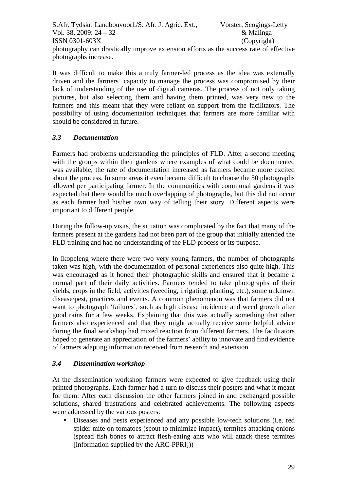It was difficult to make this a truly farmer-led process as the idea was externally driven and the farmers' capacity to manage the process was compromised by their lack of understanding of the use of digital cameras. The process of not only taking pictures, but also selecting them and having them printed, was very new to the farmers and this meant that they were reliant on support from the facilitators. The possibility of using documentation techniques that farmers are more familiar with should be considered in future.

# *3.3 Documentation*

Farmers had problems understanding the principles of FLD. After a second meeting with the groups within their gardens where examples of what could be documented was available, the rate of documentation increased as farmers became more excited about the process. In some areas it even became difficult to choose the 50 photographs allowed per participating farmer. In the communities with communal gardens it was expected that there would be much overlapping of photographs, but this did not occur as each farmer had his/her own way of telling their story. Different aspects were important to different people.

During the follow-up visits, the situation was complicated by the fact that many of the farmers present at the gardens had not been part of the group that initially attended the FLD training and had no understanding of the FLD process or its purpose.

In Ikopeleng where there were two very young farmers, the number of photographs taken was high, with the documentation of personal experiences also quite high. This was encouraged as it honed their photographic skills and ensured that it became a normal part of their daily activities. Farmers tended to take photographs of their yields, crops in the field, activities (weeding, irrigating, planting, etc.), some unknown disease/pest, practices and events. A common phenomenon was that farmers did not want to photograph 'failures', such as high disease incidence and weed growth after good rains for a few weeks. Explaining that this was actually something that other farmers also experienced and that they might actually receive some helpful advice during the final workshop had mixed reaction from different farmers. The facilitators hoped to generate an appreciation of the farmers' ability to innovate and find evidence of farmers adapting information received from research and extension.

# *3.4 Dissemination workshop*

At the dissemination workshop farmers were expected to give feedback using their printed photographs. Each farmer had a turn to discuss their posters and what it meant for them. After each discussion the other farmers joined in and exchanged possible solutions, shared frustrations and celebrated achievements. The following aspects were addressed by the various posters:

• Diseases and pests experienced and any possible low-tech solutions (i.e. red spider mite on tomatoes (scout to minimize impact), termites attacking onions (spread fish bones to attract flesh-eating ants who will attack these termites [information supplied by the ARC-PPRI]))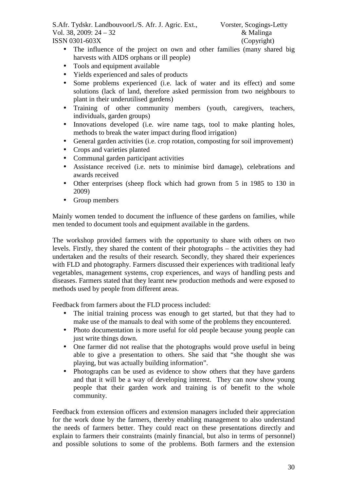- The influence of the project on own and other families (many shared big harvests with AIDS orphans or ill people)
- Tools and equipment available
- Yields experienced and sales of products
- Some problems experienced (i.e. lack of water and its effect) and some solutions (lack of land, therefore asked permission from two neighbours to plant in their underutilised gardens)
- Training of other community members (youth, caregivers, teachers, individuals, garden groups)
- Innovations developed (i.e. wire name tags, tool to make planting holes, methods to break the water impact during flood irrigation)
- General garden activities (i.e. crop rotation, composting for soil improvement)
- Crops and varieties planted
- Communal garden participant activities
- Assistance received (i.e. nets to minimise bird damage), celebrations and awards received
- Other enterprises (sheep flock which had grown from 5 in 1985 to 130 in 2009)
- Group members

Mainly women tended to document the influence of these gardens on families, while men tended to document tools and equipment available in the gardens.

The workshop provided farmers with the opportunity to share with others on two levels. Firstly, they shared the content of their photographs – the activities they had undertaken and the results of their research. Secondly, they shared their experiences with FLD and photography. Farmers discussed their experiences with traditional leafy vegetables, management systems, crop experiences, and ways of handling pests and diseases. Farmers stated that they learnt new production methods and were exposed to methods used by people from different areas.

Feedback from farmers about the FLD process included:

- The initial training process was enough to get started, but that they had to make use of the manuals to deal with some of the problems they encountered.
- Photo documentation is more useful for old people because young people can just write things down.
- One farmer did not realise that the photographs would prove useful in being able to give a presentation to others. She said that "she thought she was playing, but was actually building information".
- Photographs can be used as evidence to show others that they have gardens and that it will be a way of developing interest. They can now show young people that their garden work and training is of benefit to the whole community.

Feedback from extension officers and extension managers included their appreciation for the work done by the farmers, thereby enabling management to also understand the needs of farmers better. They could react on these presentations directly and explain to farmers their constraints (mainly financial, but also in terms of personnel) and possible solutions to some of the problems. Both farmers and the extension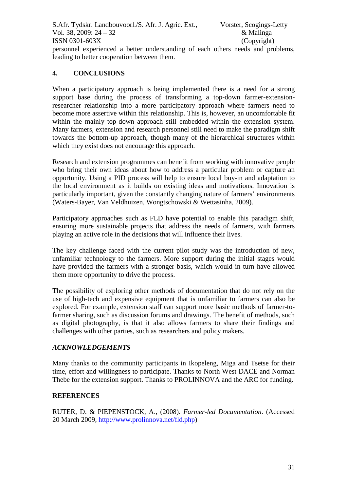personnel experienced a better understanding of each others needs and problems, leading to better cooperation between them.

# **4. CONCLUSIONS**

When a participatory approach is being implemented there is a need for a strong support base during the process of transforming a top-down farmer-extensionresearcher relationship into a more participatory approach where farmers need to become more assertive within this relationship. This is, however, an uncomfortable fit within the mainly top-down approach still embedded within the extension system. Many farmers, extension and research personnel still need to make the paradigm shift towards the bottom-up approach, though many of the hierarchical structures within which they exist does not encourage this approach.

Research and extension programmes can benefit from working with innovative people who bring their own ideas about how to address a particular problem or capture an opportunity. Using a PID process will help to ensure local buy-in and adaptation to the local environment as it builds on existing ideas and motivations. Innovation is particularly important, given the constantly changing nature of farmers' environments (Waters-Bayer, Van Veldhuizen, Wongtschowski & Wettasinha*,* 2009).

Participatory approaches such as FLD have potential to enable this paradigm shift, ensuring more sustainable projects that address the needs of farmers, with farmers playing an active role in the decisions that will influence their lives.

The key challenge faced with the current pilot study was the introduction of new, unfamiliar technology to the farmers. More support during the initial stages would have provided the farmers with a stronger basis, which would in turn have allowed them more opportunity to drive the process.

The possibility of exploring other methods of documentation that do not rely on the use of high-tech and expensive equipment that is unfamiliar to farmers can also be explored. For example, extension staff can support more basic methods of farmer-tofarmer sharing, such as discussion forums and drawings. The benefit of methods, such as digital photography, is that it also allows farmers to share their findings and challenges with other parties, such as researchers and policy makers.

# *ACKNOWLEDGEMENTS*

Many thanks to the community participants in Ikopeleng, Miga and Tsetse for their time, effort and willingness to participate. Thanks to North West DACE and Norman Thebe for the extension support. Thanks to PROLINNOVA and the ARC for funding.

## **REFERENCES**

RUTER, D. & PIEPENSTOCK, A., (2008). *Farmer-led Documentation*. (Accessed 20 March 2009, http://www.prolinnova.net/fld.php)